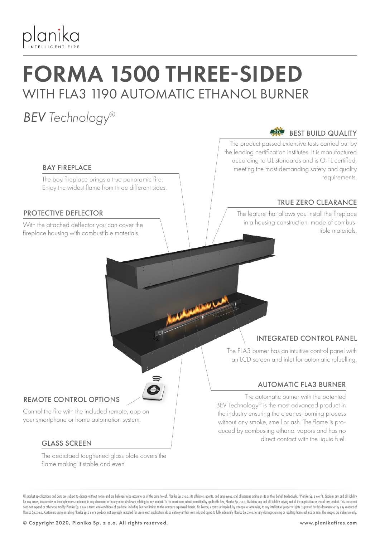

# FORMA 1500 THREE-SIDED WITH FLA3 1190 AUTOMATIC ETHANOL BURNER

### *BEV Technology®*

#### $\overrightarrow{O-TL}$ BEST BUILD QUALITY

The product passed extensive tests carried out by the leading certification institutes. It is manufactured according to UL standards and is O-TL certified, meeting the most demanding safety and quality requirements.

### TRUE ZERO CLEARANCE

The feature that allows you install the fireplace in a housing construction made of combus-With the attached deflector you can cover the the combus-<br>Conclusion is a the materials

#### BAY FIREPLACE

The bay fireplace brings a true panoramic fire. Enjoy the widest flame from three different sides.

#### PROTECTIVE DEFLECTOR

fireplace housing with combustible materials.

#### INTEGRATED CONTROL PANEL

The FLA3 burner has an intuitive control panel with an LCD screen and inlet for automatic refuelling.

#### AUTOMATIC FLA3 BURNER

The automatic burner with the patented BEV Technology® is the most advanced product in the industry ensuring the cleanest burning process without any smoke, smell or ash. The flame is produced by combusting ethanol vapors and has no direct contact with the liquid fuel.

#### REMOTE CONTROL OPTIONS

Control the fire with the included remote, app on your smartphone or home automation system.

#### GLASS SCREEN

The dedictaed toughened glass plate covers the flame making it stable and even.

All product specifications and data are subject to change without notice and are believed to be accurate as of the date hereof. Planika So, z o.o., its affiliates, agents, and employees, and all only are action on its or t for any errors, inaccuracies or incompleteness contained in any document or in any other disclosure relating to any product. To the maximum extent permitted by applicable law, Planika Sp. z o.o. disclaims any and all liabi does not expand or otherwise modify Planika Sp. z o.o.'s terms and conditions of purchase, including but not limited to the warranty expressed therein. No license, express or implied, by estoppel or otherwise, to any intel Planika Sp. z o.o. Customers using or selling Planika Sp. z o.o.'s products not expressly indicated for use in such applications do so entirely at their own risk and agree to fully indemnify Planika Sp. z o.o. for any dama